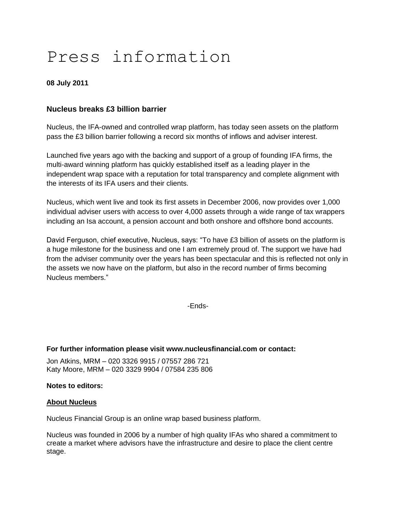# Press information

### **08 July 2011**

## **Nucleus breaks £3 billion barrier**

Nucleus, the IFA-owned and controlled wrap platform, has today seen assets on the platform pass the £3 billion barrier following a record six months of inflows and adviser interest.

Launched five years ago with the backing and support of a group of founding IFA firms, the multi-award winning platform has quickly established itself as a leading player in the independent wrap space with a reputation for total transparency and complete alignment with the interests of its IFA users and their clients.

Nucleus, which went live and took its first assets in December 2006, now provides over 1,000 individual adviser users with access to over 4,000 assets through a wide range of tax wrappers including an Isa account, a pension account and both onshore and offshore bond accounts.

David Ferguson, chief executive, Nucleus, says: "To have £3 billion of assets on the platform is a huge milestone for the business and one I am extremely proud of. The support we have had from the adviser community over the years has been spectacular and this is reflected not only in the assets we now have on the platform, but also in the record number of firms becoming Nucleus members."

-Ends-

## **For further information please visit www.nucleusfinancial.com or contact:**

Jon Atkins, MRM – 020 3326 9915 / 07557 286 721 Katy Moore, MRM – 020 3329 9904 / 07584 235 806

#### **Notes to editors:**

#### **About Nucleus**

Nucleus Financial Group is an online wrap based business platform.

Nucleus was founded in 2006 by a number of high quality IFAs who shared a commitment to create a market where advisors have the infrastructure and desire to place the client centre stage.